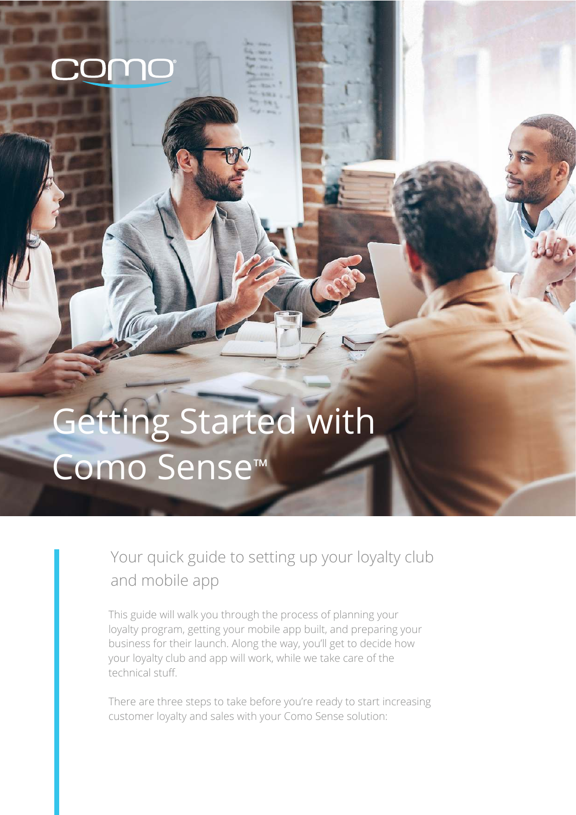# Getting Started with Como Sense™

#### Your quick guide to setting up your loyalty club and mobile app

This guide will walk you through the process of planning your loyalty program, getting your mobile app built, and preparing your business for their launch. Along the way, you'll get to decide how your loyalty club and app will work, while we take care of the technical stuff.

There are three steps to take before you're ready to start increasing customer loyalty and sales with your Como Sense solution: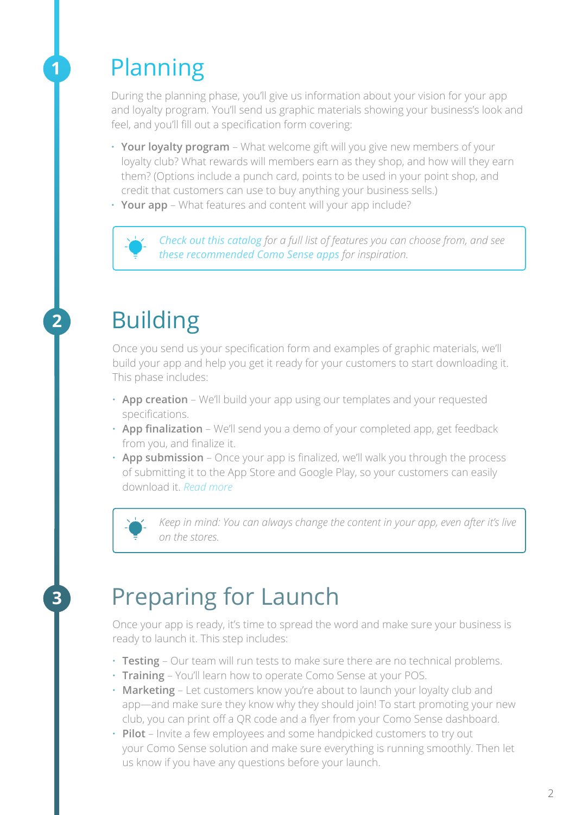#### Planning

**1**

**2**

**3**

During the planning phase, you'll give us information about your vision for your app and loyalty program. You'll send us graphic materials showing your business's look and feel, and you'll fill out a specification form covering:

- **· Your loyalty program** What welcome gift will you give new members of your loyalty club? What rewards will members earn as they shop, and how will they earn them? (Options include a punch card, points to be used in your point shop, and credit that customers can use to buy anything your business sells.)
- **· Your app** What features and content will your app include?



*[Check out this catalog](https://s3-eu-west-1.amazonaws.com/materials.como.com/Welcome%20kit%20-%20Essential%20Como%20Sense%20Features.pdf) for a full list of features you can choose from, and see [these recommended Como Sense apps](https://play.google.com/store/apps/developer?id=Como%20UK&hl=en) for inspiration.*

## Building

Once you send us your specification form and examples of graphic materials, we'll build your app and help you get it ready for your customers to start downloading it. This phase includes:

- **· App creation**  We'll build your app using our templates and your requested specifications.
- **· App finalization** We'll send you a demo of your completed app, get feedback from you, and finalize it.
- **· App submission** Once your app is finalized, we'll walk you through the process of submitting it to the App Store and Google Play, so your customers can easily download it. *[Read more](https://s3-eu-west-1.amazonaws.com/materials.como.com/Submission%20to%20Apple%20-%20Guide%20.pdf)*

*Keep in mind: You can always change the content in your app, even after it's live on the stores.*

### Preparing for Launch

Once your app is ready, it's time to spread the word and make sure your business is ready to launch it. This step includes:

- **· Testing** Our team will run tests to make sure there are no technical problems.
- **· Training** You'll learn how to operate Como Sense at your POS.
- **· Marketing** Let customers know you're about to launch your loyalty club and app—and make sure they know why they should join! To start promoting your new club, you can print off a QR code and a flyer from your Como Sense dashboard.
- **· Pilot** Invite a few employees and some handpicked customers to try out your Como Sense solution and make sure everything is running smoothly. Then let us know if you have any questions before your launch.